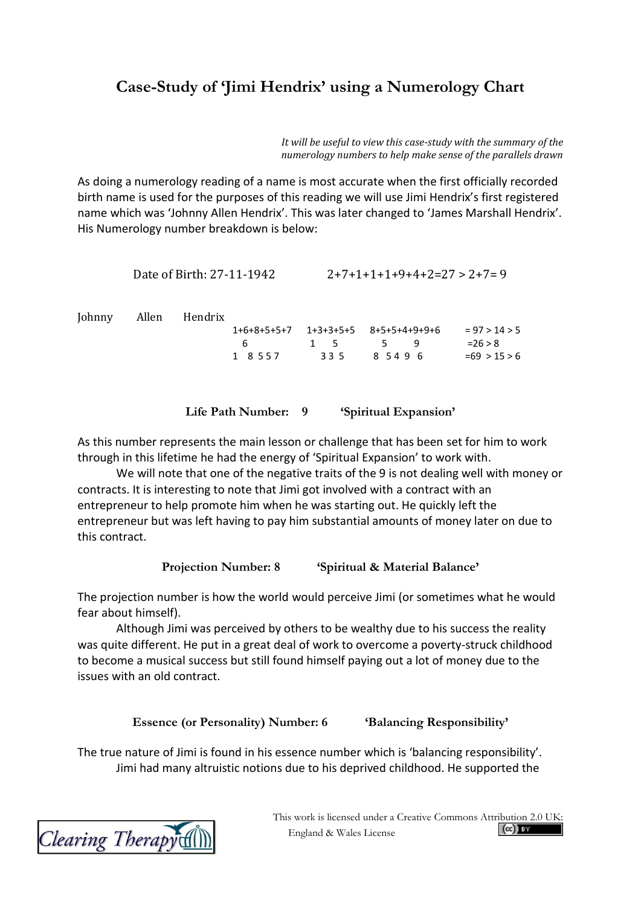## **Case-Study of 'Jimi Hendrix' using a Numerology Chart**

*It will be useful to view this case-study with the summary of the numerology numbers to help make sense of the parallels drawn*

As doing a numerology reading of a name is most accurate when the first officially recorded birth name is used for the purposes of this reading we will use Jimi Hendrix's first registered name which was 'Johnny Allen Hendrix'. This was later changed to 'James Marshall Hendrix'. His Numerology number breakdown is below:

```
Date of Birth: 27-11-1942 2+7+1+1+1+9+4+2=27 > 2+7=9Johnny Allen Hendrix
              1+6+8+5+5+7 1+3+3+5+5 8+5+5+4+9+9+6 = 97 > 14 > 5
               6 1 5 5 9 =26 > 8<br>1 8 5 5 7 3 3 5 8 5 4 9 6 = 69 > 1
              1 \quad 8 \quad 5 \quad 7 3 3 5 8 5 4 9 6 = 69 > 15 > 6
```
## **Life Path Number: 9 'Spiritual Expansion'**

As this number represents the main lesson or challenge that has been set for him to work through in this lifetime he had the energy of 'Spiritual Expansion' to work with.

We will note that one of the negative traits of the 9 is not dealing well with money or contracts. It is interesting to note that Jimi got involved with a contract with an entrepreneur to help promote him when he was starting out. He quickly left the entrepreneur but was left having to pay him substantial amounts of money later on due to this contract.

**Projection Number: 8 'Spiritual & Material Balance'**

The projection number is how the world would perceive Jimi (or sometimes what he would fear about himself).

Although Jimi was perceived by others to be wealthy due to his success the reality was quite different. He put in a great deal of work to overcome a poverty-struck childhood to become a musical success but still found himself paying out a lot of money due to the issues with an old contract.

**Essence (or Personality) Number: 6 'Balancing Responsibility'**

The true nature of Jimi is found in his essence number which is 'balancing responsibility'. Jimi had many altruistic notions due to his deprived childhood. He supported the